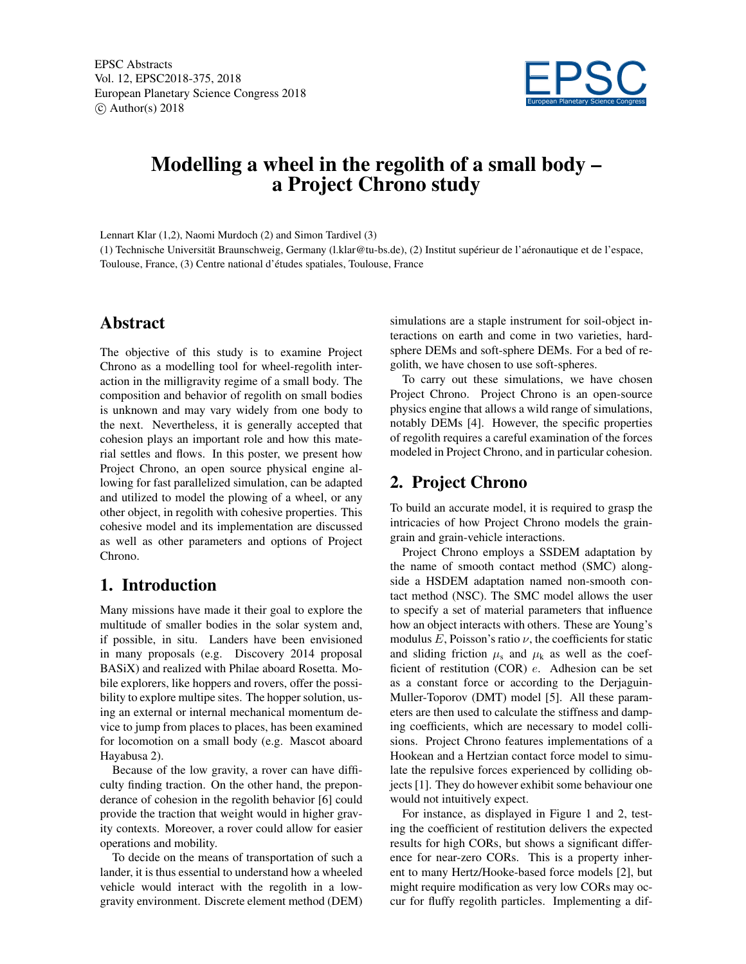EPSC Abstracts Vol. 12, EPSC2018-375, 2018 European Planetary Science Congress 2018  $\circ$  Author(s) 2018



# Modelling a wheel in the regolith of a small body – a Project Chrono study

Lennart Klar (1,2), Naomi Murdoch (2) and Simon Tardivel (3)

(1) Technische Universität Braunschweig, Germany (l.klar@tu-bs.de), (2) Institut supérieur de l'aéronautique et de l'espace, Toulouse, France, (3) Centre national d'études spatiales, Toulouse, France

#### Abstract

The objective of this study is to examine Project Chrono as a modelling tool for wheel-regolith interaction in the milligravity regime of a small body. The composition and behavior of regolith on small bodies is unknown and may vary widely from one body to the next. Nevertheless, it is generally accepted that cohesion plays an important role and how this material settles and flows. In this poster, we present how Project Chrono, an open source physical engine allowing for fast parallelized simulation, can be adapted and utilized to model the plowing of a wheel, or any other object, in regolith with cohesive properties. This cohesive model and its implementation are discussed as well as other parameters and options of Project Chrono.

### 1. Introduction

Many missions have made it their goal to explore the multitude of smaller bodies in the solar system and, if possible, in situ. Landers have been envisioned in many proposals (e.g. Discovery 2014 proposal BASiX) and realized with Philae aboard Rosetta. Mobile explorers, like hoppers and rovers, offer the possibility to explore multipe sites. The hopper solution, using an external or internal mechanical momentum device to jump from places to places, has been examined for locomotion on a small body (e.g. Mascot aboard Hayabusa 2).

Because of the low gravity, a rover can have difficulty finding traction. On the other hand, the preponderance of cohesion in the regolith behavior [6] could provide the traction that weight would in higher gravity contexts. Moreover, a rover could allow for easier operations and mobility.

To decide on the means of transportation of such a lander, it is thus essential to understand how a wheeled vehicle would interact with the regolith in a lowgravity environment. Discrete element method (DEM) simulations are a staple instrument for soil-object interactions on earth and come in two varieties, hardsphere DEMs and soft-sphere DEMs. For a bed of regolith, we have chosen to use soft-spheres.

To carry out these simulations, we have chosen Project Chrono. Project Chrono is an open-source physics engine that allows a wild range of simulations, notably DEMs [4]. However, the specific properties of regolith requires a careful examination of the forces modeled in Project Chrono, and in particular cohesion.

#### 2. Project Chrono

To build an accurate model, it is required to grasp the intricacies of how Project Chrono models the graingrain and grain-vehicle interactions.

Project Chrono employs a SSDEM adaptation by the name of smooth contact method (SMC) alongside a HSDEM adaptation named non-smooth contact method (NSC). The SMC model allows the user to specify a set of material parameters that influence how an object interacts with others. These are Young's modulus  $E$ , Poisson's ratio  $\nu$ , the coefficients for static and sliding friction  $\mu_s$  and  $\mu_k$  as well as the coefficient of restitution (COR)  $e$ . Adhesion can be set as a constant force or according to the Derjaguin-Muller-Toporov (DMT) model [5]. All these parameters are then used to calculate the stiffness and damping coefficients, which are necessary to model collisions. Project Chrono features implementations of a Hookean and a Hertzian contact force model to simulate the repulsive forces experienced by colliding objects [1]. They do however exhibit some behaviour one would not intuitively expect.

For instance, as displayed in Figure 1 and 2, testing the coefficient of restitution delivers the expected results for high CORs, but shows a significant difference for near-zero CORs. This is a property inherent to many Hertz/Hooke-based force models [2], but might require modification as very low CORs may occur for fluffy regolith particles. Implementing a dif-